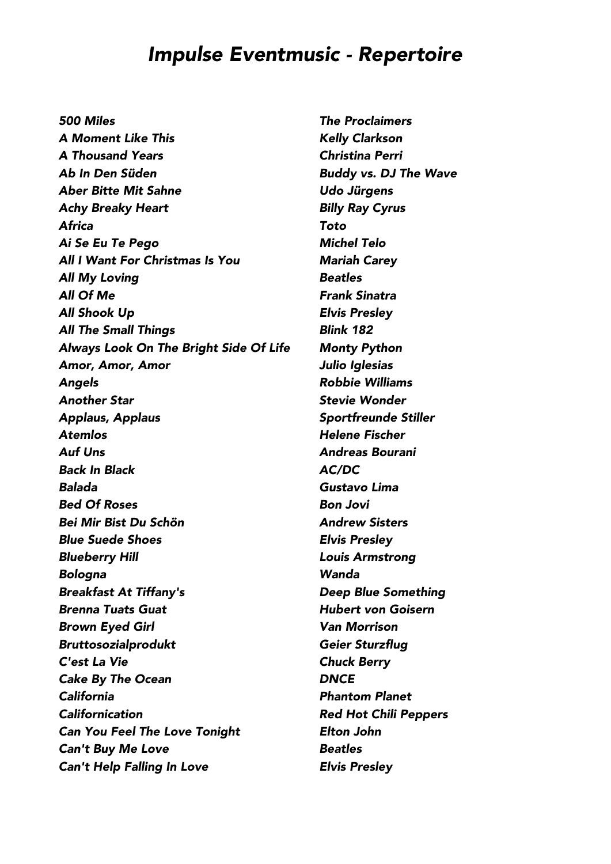*500 Miles The Proclaimers A Moment Like This Kelly Clarkson A Thousand Years Christina Perri Ab In Den Süden Buddy vs. DJ The Wave Aber Bitte Mit Sahne Udo Jürgens Achy Breaky Heart Billy Ray Cyrus Africa Toto Ai Se Eu Te Pego Michel Telo All I Want For Christmas Is You Mariah Carey All My Loving Beatles All Of Me Frank Sinatra All Shook Up Elvis Presley All The Small Things Blink 182 Always Look On The Bright Side Of Life Monty Python Amor, Amor, Amor Julio Iglesias Angels Robbie Williams Another Star Stevie Wonder Applaus, Applaus Sportfreunde Stiller Atemlos Helene Fischer Auf Uns Andreas Bourani Back In Black AC/DC Balada Gustavo Lima Bed Of Roses Bon Jovi Bei Mir Bist Du Schön Andrew Sisters Blue Suede Shoes Elvis Presley Blueberry Hill Louis Armstrong Bologna Wanda Breakfast At Tiffany's Deep Blue Something Brenna Tuats Guat Hubert von Goisern Brown Eyed Girl Van Morrison Bruttosozialprodukt Geier Sturzflug C'est La Vie Chuck Berry Cake By The Ocean DNCE California Phantom Planet Californication Red Hot Chili Peppers Can You Feel The Love Tonight Elton John Can't Buy Me Love Beatles Can't Help Falling In Love Elvis Presley*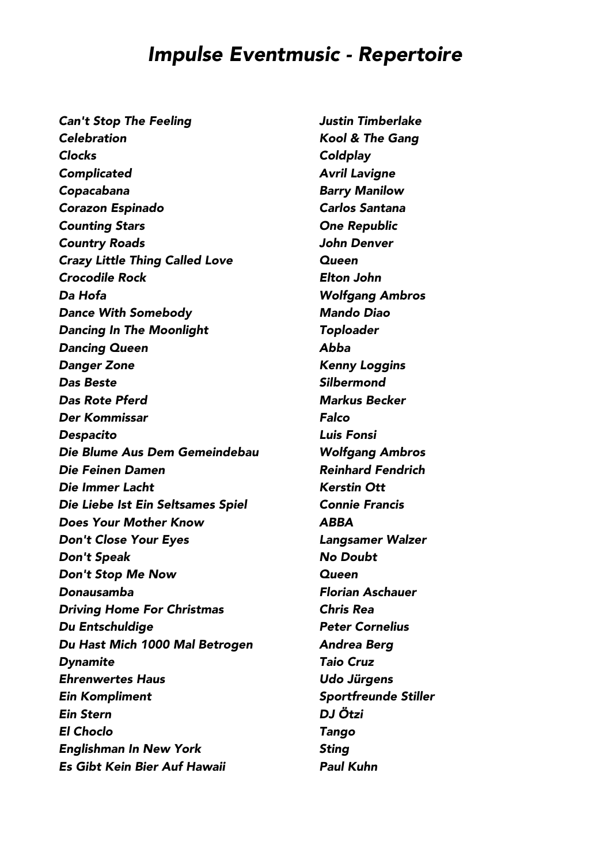*Can't Stop The Feeling Justin Timberlake Celebration Kool & The Gang Clocks Coldplay Complicated Avril Lavigne Copacabana Barry Manilow Corazon Espinado Carlos Santana Counting Stars One Republic Country Roads John Denver Crazy Little Thing Called Love Queen Crocodile Rock Elton John Da Hofa Wolfgang Ambros Dance With Somebody Mando Diao Dancing In The Moonlight Toploader Dancing Queen Abba Danger Zone Kenny Loggins Das Beste Silbermond Das Rote Pferd Markus Becker Der Kommissar Falco Despacito Luis Fonsi Die Blume Aus Dem Gemeindebau Wolfgang Ambros Die Feinen Damen Reinhard Fendrich Die Immer Lacht Kerstin Ott Die Liebe Ist Ein Seltsames Spiel Connie Francis Does Your Mother Know ABBA Don't Close Your Eyes Langsamer Walzer Don't Speak No Doubt Don't Stop Me Now Queen Donausamba Florian Aschauer Driving Home For Christmas Chris Rea Du Entschuldige Peter Cornelius Du Hast Mich 1000 Mal Betrogen Andrea Berg Dynamite Taio Cruz Ehrenwertes Haus Udo Jürgens Ein Kompliment Sportfreunde Stiller Ein Stern DJ Ötzi El Choclo Tango Englishman In New York Sting Es Gibt Kein Bier Auf Hawaii Paul Kuhn*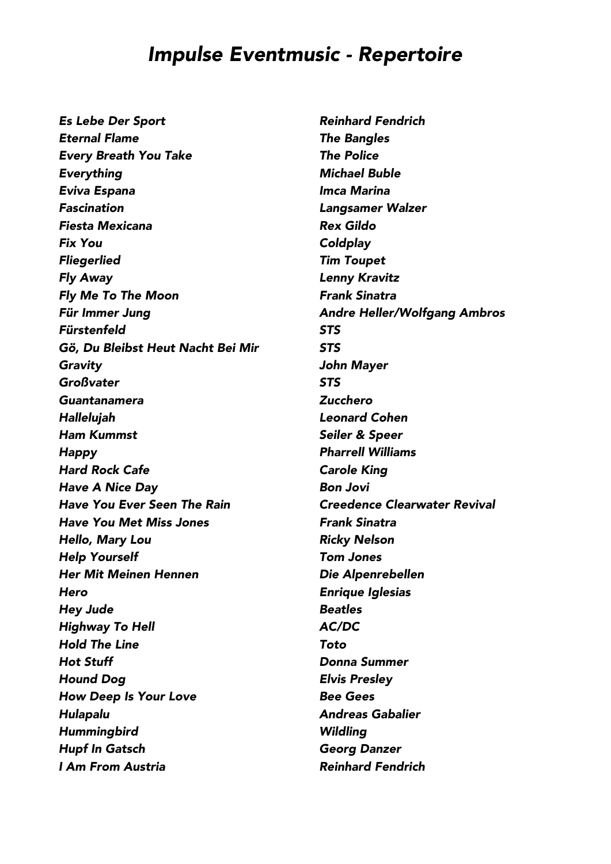*Es Lebe Der Sport Reinhard Fendrich Eternal Flame The Bangles Every Breath You Take The Police Everything Michael Buble Eviva Espana Imca Marina Fascination Langsamer Walzer Fiesta Mexicana Rex Gildo Fix You Coldplay Fliegerlied Tim Toupet Fly Away Lenny Kravitz Fly Me To The Moon Frank Sinatra Für Immer Jung Andre Heller/Wolfgang Ambros Fürstenfeld STS Gö, Du Bleibst Heut Nacht Bei Mir STS Gravity John Mayer Großvater STS Guantanamera Zucchero Hallelujah Leonard Cohen Ham Kummst Seiler & Speer Happy Pharrell Williams Hard Rock Cafe Carole King Have A Nice Day Bon Jovi Have You Ever Seen The Rain Creedence Clearwater Revival Have You Met Miss Jones Frank Sinatra Hello, Mary Lou Ricky Nelson Help Yourself Tom Jones Her Mit Meinen Hennen Die Alpenrebellen Hero Enrique Iglesias Hey Jude Beatles Highway To Hell AC/DC Hold The Line Toto Hot Stuff Donna Summer Hound Dog Elvis Presley How Deep Is Your Love Bee Gees Hulapalu Andreas Gabalier Hummingbird Wildling Hupf In Gatsch Georg Danzer I Am From Austria Reinhard Fendrich*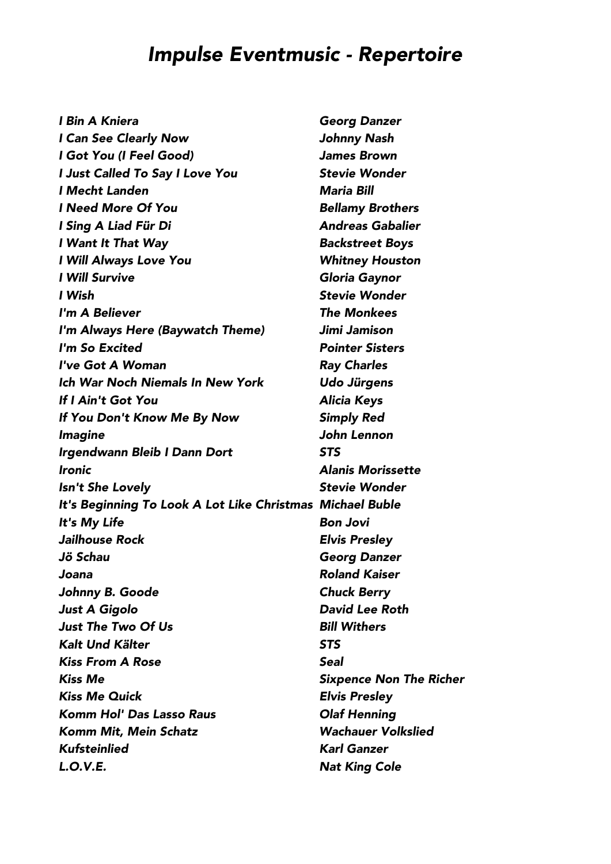| <b>I Bin A Kniera</b>                                     | <b>Georg Danzer</b>            |
|-----------------------------------------------------------|--------------------------------|
| I Can See Clearly Now                                     | <b>Johnny Nash</b>             |
| I Got You (I Feel Good)                                   | <b>James Brown</b>             |
| I Just Called To Say I Love You                           | <b>Stevie Wonder</b>           |
| I Mecht Landen                                            | <b>Maria Bill</b>              |
| <b>I Need More Of You</b>                                 | <b>Bellamy Brothers</b>        |
| I Sing A Liad Für Di                                      | <b>Andreas Gabalier</b>        |
| I Want It That Way                                        | <b>Backstreet Boys</b>         |
| I Will Always Love You                                    | <b>Whitney Houston</b>         |
| <b>I Will Survive</b>                                     | Gloria Gaynor                  |
| I Wish                                                    | <b>Stevie Wonder</b>           |
| I'm A Believer                                            | <b>The Monkees</b>             |
| I'm Always Here (Baywatch Theme)                          | Jimi Jamison                   |
| I'm So Excited                                            | <b>Pointer Sisters</b>         |
| I've Got A Woman                                          | <b>Ray Charles</b>             |
| <b>Ich War Noch Niemals In New York</b>                   | <b>Udo Jürgens</b>             |
| If I Ain't Got You                                        | <b>Alicia Keys</b>             |
| If You Don't Know Me By Now                               | <b>Simply Red</b>              |
| <i><b>Imagine</b></i>                                     | John Lennon                    |
| Irgendwann Bleib I Dann Dort                              | <b>STS</b>                     |
| <i><u><b>Ironic</b></u></i>                               | <b>Alanis Morissette</b>       |
| Isn't She Lovely                                          | <b>Stevie Wonder</b>           |
| It's Beginning To Look A Lot Like Christmas Michael Buble |                                |
| It's My Life                                              | <b>Bon Jovi</b>                |
| <b>Jailhouse Rock</b>                                     | <b>Elvis Presley</b>           |
| Jö Schau                                                  | <b>Georg Danzer</b>            |
| Joana                                                     | <b>Roland Kaiser</b>           |
| Johnny B. Goode                                           | <b>Chuck Berry</b>             |
| <b>Just A Gigolo</b>                                      | <b>David Lee Roth</b>          |
| <b>Just The Two Of Us</b>                                 | <b>Bill Withers</b>            |
| Kalt Und Kälter                                           | <b>STS</b>                     |
| <b>Kiss From A Rose</b>                                   | <b>Seal</b>                    |
| <b>Kiss Me</b>                                            | <b>Sixpence Non The Richer</b> |
| <b>Kiss Me Quick</b>                                      | <b>Elvis Presley</b>           |
| <b>Komm Hol' Das Lasso Raus</b>                           | <b>Olaf Henning</b>            |
| <b>Komm Mit, Mein Schatz</b>                              | <b>Wachauer Volkslied</b>      |
| <b>Kufsteinlied</b>                                       | <b>Karl Ganzer</b>             |
| <b>L.O.V.E.</b>                                           | <b>Nat King Cole</b>           |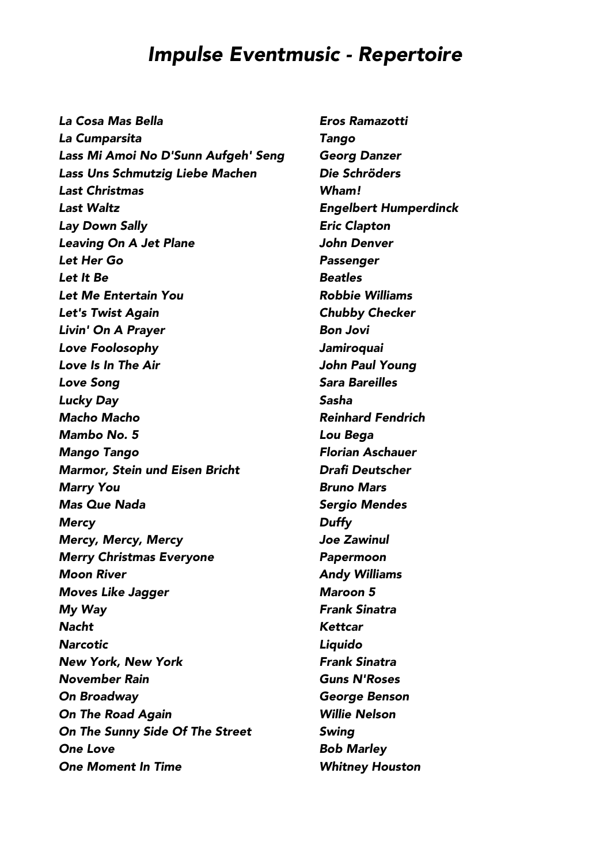*La Cosa Mas Bella Eros Ramazotti La Cumparsita Tango Lass Mi Amoi No D'Sunn Aufgeh' Seng Georg Danzer Lass Uns Schmutzig Liebe Machen Die Schröders Last Christmas Wham! Last Waltz Engelbert Humperdinck Lay Down Sally Eric Clapton Leaving On A Jet Plane John Denver Let Her Go Passenger Let It Be Beatles Let Me Entertain You Robbie Williams Let's Twist Again Chubby Checker Livin' On A Prayer Bon Jovi Love Foolosophy Jamiroquai Love Is In The Air John Paul Young Love Song Sara Bareilles Lucky Day Sasha Macho Macho Reinhard Fendrich Mambo No. 5 Lou Bega Mango Tango Florian Aschauer Marmor, Stein und Eisen Bricht Drafi Deutscher Marry You Bruno Mars Mas Que Nada Sergio Mendes Mercy Duffy Mercy, Mercy, Mercy Joe Zawinul Merry Christmas Everyone Papermoon Moon River Andy Williams Moves Like Jagger Maroon 5 My Way Frank Sinatra Nacht Kettcar Narcotic Liquido New York, New York Frank Sinatra November Rain Guns N'Roses On Broadway George Benson On The Road Again Willie Nelson On The Sunny Side Of The Street Swing One Love Bob Marley One Moment In Time Whitney Houston*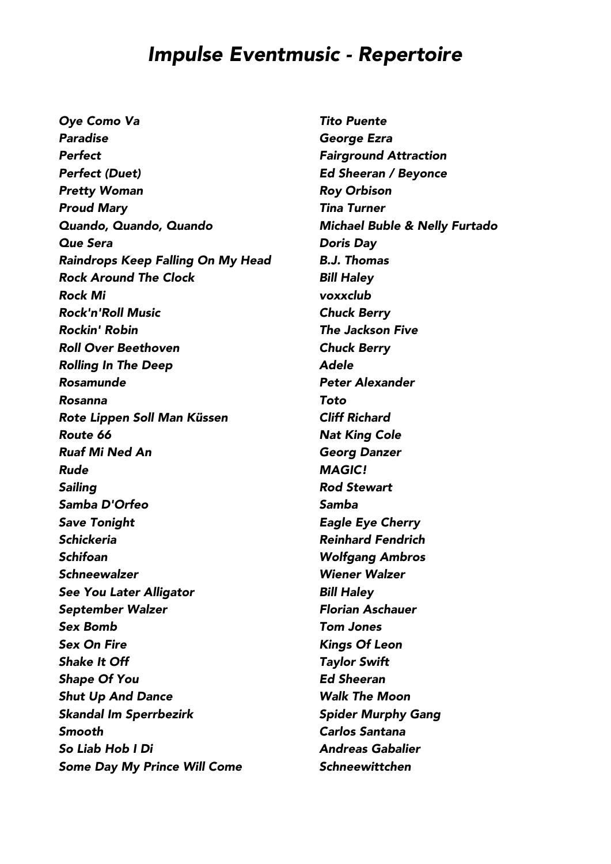*Oye Como Va Tito Puente Paradise George Ezra Perfect Fairground Attraction Perfect (Duet) Ed Sheeran / Beyonce Pretty Woman Roy Orbison Proud Mary Tina Turner Quando, Quando, Quando Michael Buble & Nelly Furtado Que Sera Doris Day Raindrops Keep Falling On My Head B.J. Thomas Rock Around The Clock Bill Haley Rock Mi voxxclub Rock'n'Roll Music Chuck Berry Rockin' Robin The Jackson Five Roll Over Beethoven Chuck Berry Rolling In The Deep Adele Rosamunde Peter Alexander Rosanna Toto Rote Lippen Soll Man Küssen Cliff Richard Route 66 Nat King Cole Ruaf Mi Ned An Georg Danzer Rude MAGIC! Sailing Rod Stewart Samba D'Orfeo Samba Save Tonight Eagle Eye Cherry Schickeria Reinhard Fendrich Schifoan Wolfgang Ambros Schneewalzer Wiener Walzer See You Later Alligator Bill Haley September Walzer Florian Aschauer Sex Bomb Tom Jones Sex On Fire Kings Of Leon Shake It Off Taylor Swift Shape Of You Ed Sheeran Shut Up And Dance Walk The Moon Skandal Im Sperrbezirk Spider Murphy Gang Smooth Carlos Santana So Liab Hob I Di Andreas Gabalier Some Day My Prince Will Come Schneewittchen*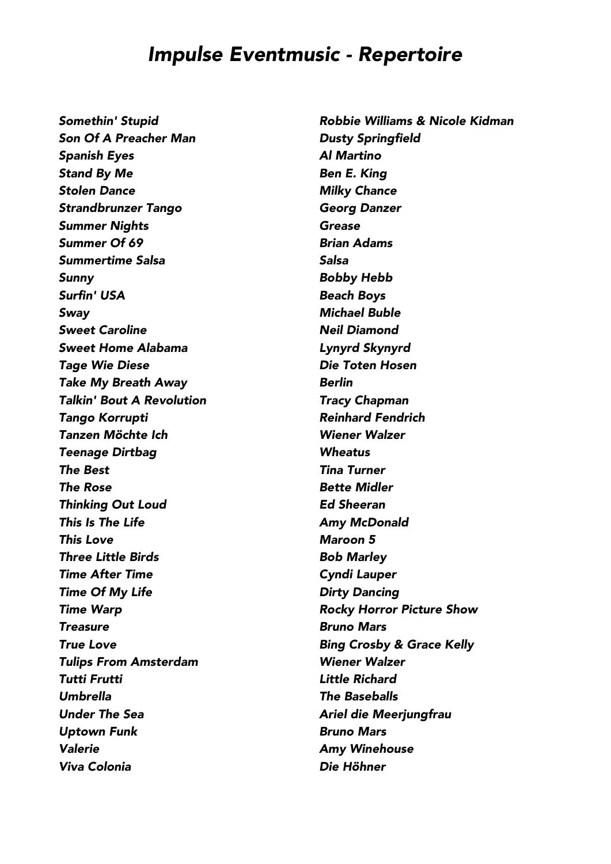*Son Of A Preacher Man Dusty Springfield Spanish Eyes Al Martino Stand By Me Ben E. King Stolen Dance Milky Chance Strandbrunzer Tango Georg Danzer Summer Nights Grease Summer Of 69 Brian Adams Summertime Salsa Salsa Sunny Bobby Hebb Surfin' USA Beach Boys Sway Michael Buble Sweet Caroline Neil Diamond Sweet Home Alabama Lynyrd Skynyrd Tage Wie Diese Die Toten Hosen Take My Breath Away Berlin Talkin' Bout A Revolution Tracy Chapman Tango Korrupti Reinhard Fendrich Tanzen Möchte Ich Wiener Walzer Teenage Dirtbag Wheatus The Best Tina Turner The Rose Bette Midler Thinking Out Loud Ed Sheeran This Is The Life Amy McDonald This Love Maroon 5 Three Little Birds Bob Marley Time After Time Cyndi Lauper Time Of My Life Dirty Dancing Time Warp Rocky Horror Picture Show Treasure Bruno Mars True Love Bing Crosby & Grace Kelly Tulips From Amsterdam Wiener Walzer Tutti Frutti Little Richard Umbrella The Baseballs Under The Sea* **Ariel die Meerjungfrau** *Uptown Funk Bruno Mars Valerie Amy Winehouse Viva Colonia Die Höhner*

*Somethin' Stupid Robbie Williams & Nicole Kidman*